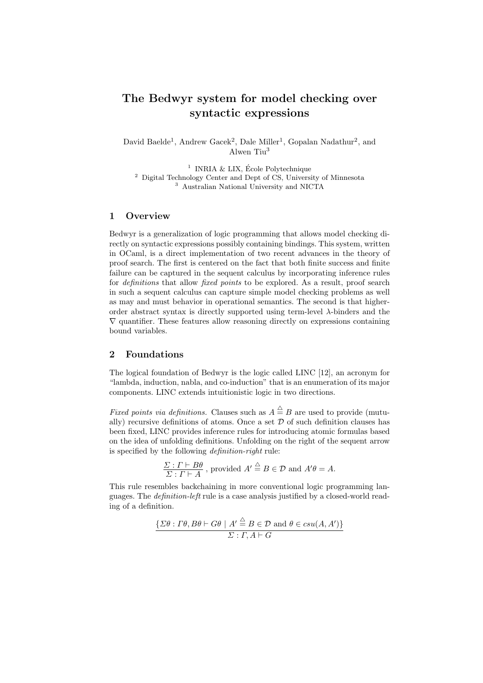# The Bedwyr system for model checking over syntactic expressions

David Baelde<sup>1</sup>, Andrew Gacek<sup>2</sup>, Dale Miller<sup>1</sup>, Gopalan Nadathur<sup>2</sup>, and Alwen Tiu<sup>3</sup>

 $1$  INRIA & LIX, École Polytechnique  $2$  Digital Technology Center and Dept of CS, University of Minnesota <sup>3</sup> Australian National University and NICTA

## 1 Overview

Bedwyr is a generalization of logic programming that allows model checking directly on syntactic expressions possibly containing bindings. This system, written in OCaml, is a direct implementation of two recent advances in the theory of proof search. The first is centered on the fact that both finite success and finite failure can be captured in the sequent calculus by incorporating inference rules for *definitions* that allow *fixed points* to be explored. As a result, proof search in such a sequent calculus can capture simple model checking problems as well as may and must behavior in operational semantics. The second is that higherorder abstract syntax is directly supported using term-level λ-binders and the  $\nabla$  quantifier. These features allow reasoning directly on expressions containing bound variables.

## 2 Foundations

The logical foundation of Bedwyr is the logic called LINC [12], an acronym for "lambda, induction, nabla, and co-induction" that is an enumeration of its major components. LINC extends intuitionistic logic in two directions.

*Fixed points via definitions.* Clauses such as  $A \stackrel{\triangle}{=} B$  are used to provide (mutually) recursive definitions of atoms. Once a set  $D$  of such definition clauses has been fixed, LINC provides inference rules for introducing atomic formulas based on the idea of unfolding definitions. Unfolding on the right of the sequent arrow is specified by the following definition-right rule:

$$
\frac{\Sigma:\Gamma\vdash B\theta}{\Sigma:\Gamma\vdash A}\text{, provided }A'\stackrel{\triangle}{=}B\in\mathcal{D}\text{ and }A'\theta=A.
$$

This rule resembles backchaining in more conventional logic programming languages. The definition-left rule is a case analysis justified by a closed-world reading of a definition.

$$
\frac{\{\Sigma\theta : \Gamma\theta, B\theta \vdash G\theta \mid A' \stackrel{\triangle}{=} B \in \mathcal{D} \text{ and } \theta \in csu(A, A')\}}{\Sigma : \Gamma, A \vdash G}
$$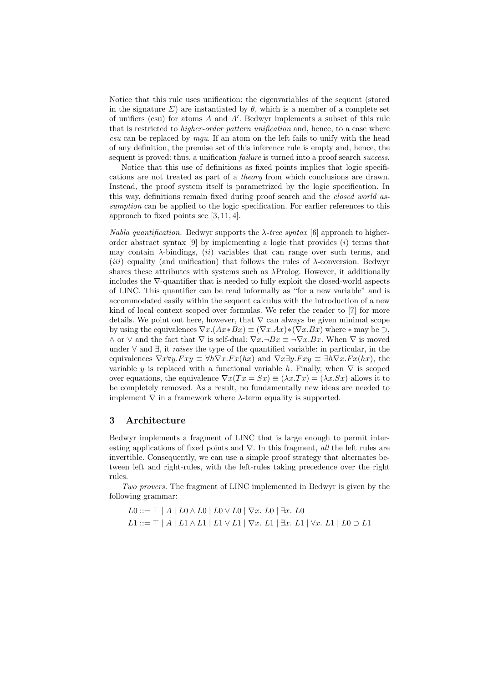Notice that this rule uses unification: the eigenvariables of the sequent (stored in the signature  $\Sigma$ ) are instantiated by  $\theta$ , which is a member of a complete set of unifiers (csu) for atoms  $A$  and  $A'$ . Bedwyr implements a subset of this rule that is restricted to *higher-order pattern unification* and, hence, to a case where  $csu$  can be replaced by  $mqu$ . If an atom on the left fails to unify with the head of any definition, the premise set of this inference rule is empty and, hence, the sequent is proved: thus, a unification *failure* is turned into a proof search *success*.

Notice that this use of definitions as fixed points implies that logic specifications are not treated as part of a theory from which conclusions are drawn. Instead, the proof system itself is parametrized by the logic specification. In this way, definitions remain fixed during proof search and the closed world assumption can be applied to the logic specification. For earlier references to this approach to fixed points see [3, 11, 4].

Nabla quantification. Bedwyr supports the  $\lambda$ -tree syntax [6] approach to higherorder abstract syntax  $[9]$  by implementing a logic that provides  $(i)$  terms that may contain  $\lambda$ -bindings, *(ii)* variables that can range over such terms, and (*iii*) equality (and unification) that follows the rules of  $\lambda$ -conversion. Bedwyr shares these attributes with systems such as  $\lambda$ Prolog. However, it additionally includes the ∇-quantifier that is needed to fully exploit the closed-world aspects of LINC. This quantifier can be read informally as "for a new variable" and is accommodated easily within the sequent calculus with the introduction of a new kind of local context scoped over formulas. We refer the reader to [7] for more details. We point out here, however, that  $\nabla$  can always be given minimal scope by using the equivalences  $\nabla x.(Ax*Bx) \equiv (\nabla x.Ax)*( \nabla x.Bx)$  where  $*$  may be  $\supset$ ,  $\wedge$  or  $\vee$  and the fact that  $\nabla$  is self-dual:  $\nabla x.\neg Bx \equiv \neg \nabla x.Bx$ . When  $\nabla$  is moved under ∀ and ∃, it raises the type of the quantified variable: in particular, in the equivalences  $\nabla x \forall y.Fxy \equiv \forall h \nabla x.Fx(hx)$  and  $\nabla x \exists y.Fxy \equiv \exists h \nabla x.Fx(hx)$ , the variable y is replaced with a functional variable h. Finally, when  $\nabla$  is scoped over equations, the equivalence  $\nabla x(Tx = Sx) \equiv (\lambda x \cdot Tx) = (\lambda x \cdot Sx)$  allows it to be completely removed. As a result, no fundamentally new ideas are needed to implement  $\nabla$  in a framework where  $\lambda$ -term equality is supported.

## 3 Architecture

Bedwyr implements a fragment of LINC that is large enough to permit interesting applications of fixed points and  $\nabla$ . In this fragment, all the left rules are invertible. Consequently, we can use a simple proof strategy that alternates between left and right-rules, with the left-rules taking precedence over the right rules.

Two provers. The fragment of LINC implemented in Bedwyr is given by the following grammar:

 $L0 ::= \top | A | L0 \wedge L0 | L0 \vee L0 | \nabla x. L0 | \exists x. L0$  $L1 ::= \top | A | L1 \wedge L1 | L1 \vee L1 | ∇x. L1 | ∃x. L1 | ∤x. L1 | L0 ∋ L1$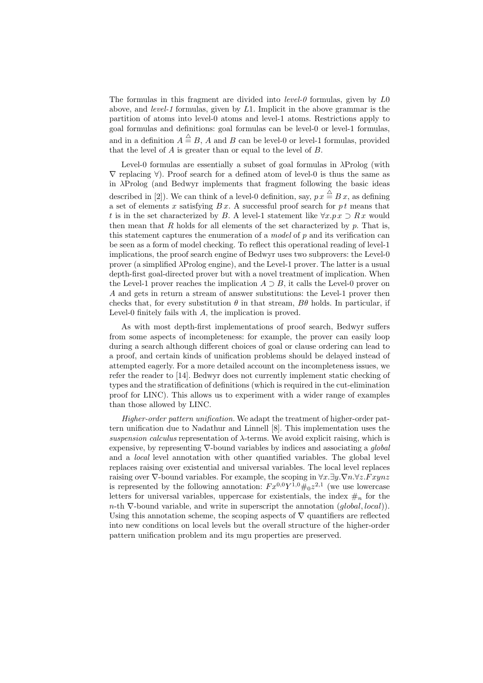The formulas in this fragment are divided into *level-0* formulas, given by  $L_0$ above, and level-1 formulas, given by L1. Implicit in the above grammar is the partition of atoms into level-0 atoms and level-1 atoms. Restrictions apply to goal formulas and definitions: goal formulas can be level-0 or level-1 formulas, and in a definition  $A \stackrel{\triangle}{=} B$ , A and B can be level-0 or level-1 formulas, provided that the level of  $A$  is greater than or equal to the level of  $B$ .

Level-0 formulas are essentially a subset of goal formulas in  $\lambda \text{Prolog}$  (with  $\nabla$  replacing  $\forall$ ). Proof search for a defined atom of level-0 is thus the same as in λProlog (and Bedwyr implements that fragment following the basic ideas described in [2]). We can think of a level-0 definition, say,  $p x \stackrel{\triangle}{=} B x$ , as defining a set of elements x satisfying  $B x$ . A successful proof search for pt means that t is in the set characterized by B. A level-1 statement like  $\forall x.px \supset Rx$  would then mean that R holds for all elements of the set characterized by  $p$ . That is, this statement captures the enumeration of a *model* of  $p$  and its verification can be seen as a form of model checking. To reflect this operational reading of level-1 implications, the proof search engine of Bedwyr uses two subprovers: the Level-0 prover (a simplified λProlog engine), and the Level-1 prover. The latter is a usual depth-first goal-directed prover but with a novel treatment of implication. When the Level-1 prover reaches the implication  $A \supset B$ , it calls the Level-0 prover on A and gets in return a stream of answer substitutions: the Level-1 prover then checks that, for every substitution  $\theta$  in that stream,  $B\theta$  holds. In particular, if Level-0 finitely fails with A, the implication is proved.

As with most depth-first implementations of proof search, Bedwyr suffers from some aspects of incompleteness: for example, the prover can easily loop during a search although different choices of goal or clause ordering can lead to a proof, and certain kinds of unification problems should be delayed instead of attempted eagerly. For a more detailed account on the incompleteness issues, we refer the reader to [14]. Bedwyr does not currently implement static checking of types and the stratification of definitions (which is required in the cut-elimination proof for LINC). This allows us to experiment with a wider range of examples than those allowed by LINC.

Higher-order pattern unification. We adapt the treatment of higher-order pattern unification due to Nadathur and Linnell [8]. This implementation uses the suspension calculus representation of  $\lambda$ -terms. We avoid explicit raising, which is expensive, by representing  $\nabla$ -bound variables by indices and associating a *global* and a local level annotation with other quantified variables. The global level replaces raising over existential and universal variables. The local level replaces raising over  $\nabla$ -bound variables. For example, the scoping in  $\forall x.\exists y.\nabla n.\forall z.Fxynz$ is represented by the following annotation:  $Fx^{0,0}Y^{1,0}\#_0z^{2,1}$  (we use lowercase letters for universal variables, uppercase for existentials, the index  $\#_n$  for the n-th  $\nabla$ -bound variable, and write in superscript the annotation  $(global, local)$ ). Using this annotation scheme, the scoping aspects of  $\nabla$  quantifiers are reflected into new conditions on local levels but the overall structure of the higher-order pattern unification problem and its mgu properties are preserved.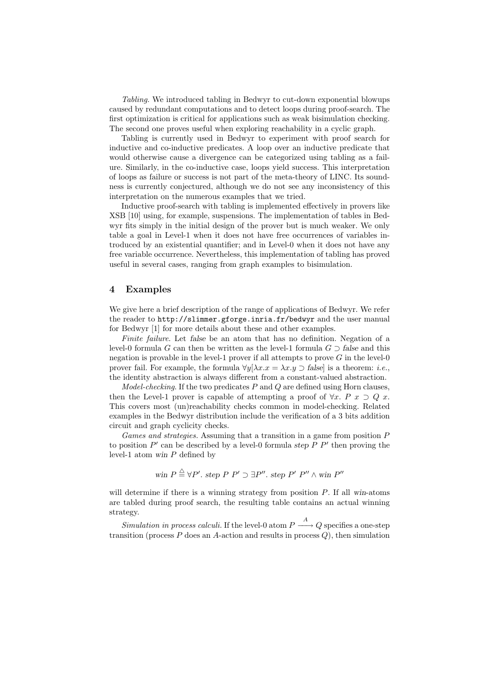Tabling. We introduced tabling in Bedwyr to cut-down exponential blowups caused by redundant computations and to detect loops during proof-search. The first optimization is critical for applications such as weak bisimulation checking. The second one proves useful when exploring reachability in a cyclic graph.

Tabling is currently used in Bedwyr to experiment with proof search for inductive and co-inductive predicates. A loop over an inductive predicate that would otherwise cause a divergence can be categorized using tabling as a failure. Similarly, in the co-inductive case, loops yield success. This interpretation of loops as failure or success is not part of the meta-theory of LINC. Its soundness is currently conjectured, although we do not see any inconsistency of this interpretation on the numerous examples that we tried.

Inductive proof-search with tabling is implemented effectively in provers like XSB [10] using, for example, suspensions. The implementation of tables in Bedwyr fits simply in the initial design of the prover but is much weaker. We only table a goal in Level-1 when it does not have free occurrences of variables introduced by an existential quantifier; and in Level-0 when it does not have any free variable occurrence. Nevertheless, this implementation of tabling has proved useful in several cases, ranging from graph examples to bisimulation.

## 4 Examples

We give here a brief description of the range of applications of Bedwyr. We refer the reader to http://slimmer.gforge.inria.fr/bedwyr and the user manual for Bedwyr [1] for more details about these and other examples.

Finite failure. Let false be an atom that has no definition. Negation of a level-0 formula G can then be written as the level-1 formula  $G \supset$  false and this negation is provable in the level-1 prover if all attempts to prove  $G$  in the level-0 prover fail. For example, the formula  $\forall y[\lambda x.x = \lambda x.y \supset \text{false}]$  is a theorem: *i.e.*, the identity abstraction is always different from a constant-valued abstraction.

*Model-checking.* If the two predicates  $P$  and  $Q$  are defined using Horn clauses, then the Level-1 prover is capable of attempting a proof of  $\forall x$ .  $P \ x \supset Q \ x$ . This covers most (un)reachability checks common in model-checking. Related examples in the Bedwyr distribution include the verification of a 3 bits addition circuit and graph cyclicity checks.

Games and strategies. Assuming that a transition in a game from position  $P$ to position  $P'$  can be described by a level-0 formula step  $P P'$  then proving the level-1 atom win P defined by

win 
$$
P \stackrel{\triangle}{=} \forall P'
$$
. step  $P' \supset \exists P''$ . step  $P' P'' \wedge \text{win } P''$ 

will determine if there is a winning strategy from position  $P$ . If all win-atoms are tabled during proof search, the resulting table contains an actual winning strategy.

Simulation in process calculi. If the level-0 atom  $P \xrightarrow{A} Q$  specifies a one-step transition (process  $P$  does an  $A$ -action and results in process  $Q$ ), then simulation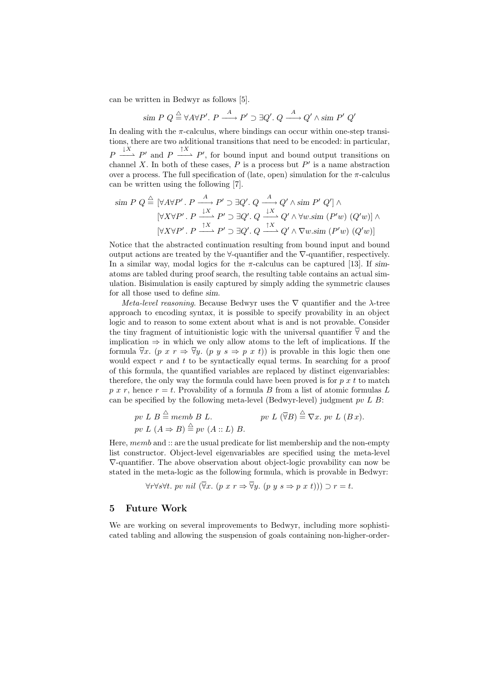can be written in Bedwyr as follows [5].

$$
\text{sim } P \ Q \stackrel{\triangle}{=} \forall A \forall P'. \ P \stackrel{A}{\longrightarrow} P' \supset \exists Q'. \ Q \stackrel{A}{\longrightarrow} Q' \land \text{sim } P' \ Q'
$$

In dealing with the  $\pi$ -calculus, where bindings can occur within one-step transitions, there are two additional transitions that need to be encoded: in particular,  $P \stackrel{\downarrow X}{\longrightarrow} P'$  and  $P \stackrel{\uparrow X}{\longrightarrow} P'$ , for bound input and bound output transitions on channel X. In both of these cases,  $P$  is a process but  $P'$  is a name abstraction over a process. The full specification of (late, open) simulation for the  $\pi$ -calculus can be written using the following [7].

$$
\begin{aligned}\n\text{sim } P \ Q &\stackrel{\triangle}{=} [\forall A \forall P'. \ P \xrightarrow{A} P' \supset \exists Q'. \ Q \xrightarrow{A} Q' \land \text{sim } P' \ Q'] \land \\
& [\forall X \forall P'. \ P \xrightarrow{1X} P' \supset \exists Q'. \ Q \xrightarrow{1X} Q' \land \forall w . \text{sim } (P'w) \ (Q'w)] \land \\
& [\forall X \forall P'. \ P \xrightarrow{1X} P' \supset \exists Q'. \ Q \xrightarrow{1X} Q' \land \nabla w . \text{sim } (P'w) \ (Q'w)]\n\end{aligned}
$$

Notice that the abstracted continuation resulting from bound input and bound output actions are treated by the  $\forall$ -quantifier and the  $\nabla$ -quantifier, respectively. In a similar way, modal logics for the  $\pi$ -calculus can be captured [13]. If simatoms are tabled during proof search, the resulting table contains an actual simulation. Bisimulation is easily captured by simply adding the symmetric clauses for all those used to define sim.

Meta-level reasoning. Because Bedwyr uses the  $\nabla$  quantifier and the  $\lambda$ -tree approach to encoding syntax, it is possible to specify provability in an object logic and to reason to some extent about what is and is not provable. Consider the tiny fragment of intuitionistic logic with the universal quantifier  $\overline{\forall}$  and the implication  $\Rightarrow$  in which we only allow atoms to the left of implications. If the formula  $\overline{\forall}x$ . (p x  $r \Rightarrow \overline{\forall}y$ . (p y s  $\Rightarrow$  p x t)) is provable in this logic then one would expect  $r$  and  $t$  to be syntactically equal terms. In searching for a proof of this formula, the quantified variables are replaced by distinct eigenvariables: therefore, the only way the formula could have been proved is for  $p x t$  to match p x r, hence  $r = t$ . Provability of a formula B from a list of atomic formulas L can be specified by the following meta-level (Bedwyr-level) judgment pv  $L$  B:

$$
pv L B \stackrel{\triangle}{=} memb B L.
$$
  
  $pv L (\overline{\forall}B) \stackrel{\triangle}{=} \nabla x. pv L (B x).$   
  $pv L (A \Rightarrow B) \stackrel{\triangle}{=} pv (A :: L) B.$ 

Here, memb and :: are the usual predicate for list membership and the non-empty list constructor. Object-level eigenvariables are specified using the meta-level ∇-quantifier. The above observation about object-logic provability can now be stated in the meta-logic as the following formula, which is provable in Bedwyr:

$$
\forall r \forall s \forall t. \; pv \; nil \; (\forall x. \; (p \; x \; r \Rightarrow \forall y. \; (p \; y \; s \Rightarrow p \; x \; t))) \supset r = t.
$$

## 5 Future Work

We are working on several improvements to Bedwyr, including more sophisticated tabling and allowing the suspension of goals containing non-higher-order-